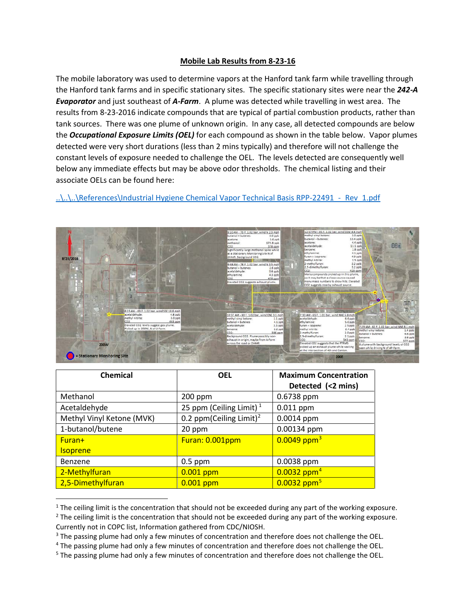## **Mobile Lab Results from 8-23-16**

The mobile laboratory was used to determine vapors at the Hanford tank farm while travelling through the Hanford tank farms and in specific stationary sites. The specific stationary sites were near the *242-A Evaporator* and just southeast of *A-Farm*. A plume was detected while travelling in west area. The results from 8-23-2016 indicate compounds that are typical of partial combustion products, rather than tank sources. There was one plume of unknown origin. In any case, all detected compounds are below the *Occupational Exposure Limits (OEL)* for each compound as shown in the table below. Vapor plumes detected were very short durations (less than 2 mins typically) and therefore will not challenge the constant levels of exposure needed to challenge the OEL. The levels detected are consequently well below any immediate effects but may be above odor thresholds. The chemical listing and their associate OELs can be found here:

..\..\..\References\Industrial Hygiene Chemical Vapor Technical Basis RPP-22491 - Rev\_1.pdf



| <b>Chemical</b>           | <b>OEL</b>                          | <b>Maximum Concentration</b><br>Detected (<2 mins) |
|---------------------------|-------------------------------------|----------------------------------------------------|
| Methanol                  | $200$ ppm                           | 0.6738 ppm                                         |
| Acetaldehyde              | 25 ppm (Ceiling Limit) $1$          | $0.011$ ppm                                        |
| Methyl Vinyl Ketone (MVK) | 0.2 ppm(Ceiling Limit) <sup>2</sup> | $0.0014$ ppm                                       |
| 1-butanol/butene          | 20 ppm                              | 0.00134 ppm                                        |
| Furan+                    | Furan: 0.001ppm                     | $0.0049$ ppm <sup>3</sup>                          |
| <b>Isoprene</b>           |                                     |                                                    |
| Benzene                   | $0.5$ ppm                           | 0.0038 ppm                                         |
| 2-Methylfuran             | $0.001$ ppm                         | $0.0032$ ppm <sup>4</sup>                          |
| 2,5-Dimethylfuran         | $0.001$ ppm                         | $0.0032$ ppm <sup>5</sup>                          |

<span id="page-0-0"></span><sup>&</sup>lt;sup>1</sup> The ceiling limit is the concentration that should not be exceeded during any part of the working exposure.

<span id="page-0-1"></span><sup>&</sup>lt;sup>2</sup> The ceiling limit is the concentration that should not be exceeded during any part of the working exposure.

<span id="page-0-2"></span>Currently not in COPC list, Information gathered from CDC/NIOSH.<br><sup>3</sup> The passing plume had only a few minutes of concentration and therefore does not challenge the OEL.

<span id="page-0-3"></span><sup>4</sup> The passing plume had only a few minutes of concentration and therefore does not challenge the OEL.

<span id="page-0-4"></span><sup>&</sup>lt;sup>5</sup> The passing plume had only a few minutes of concentration and therefore does not challenge the OEL.